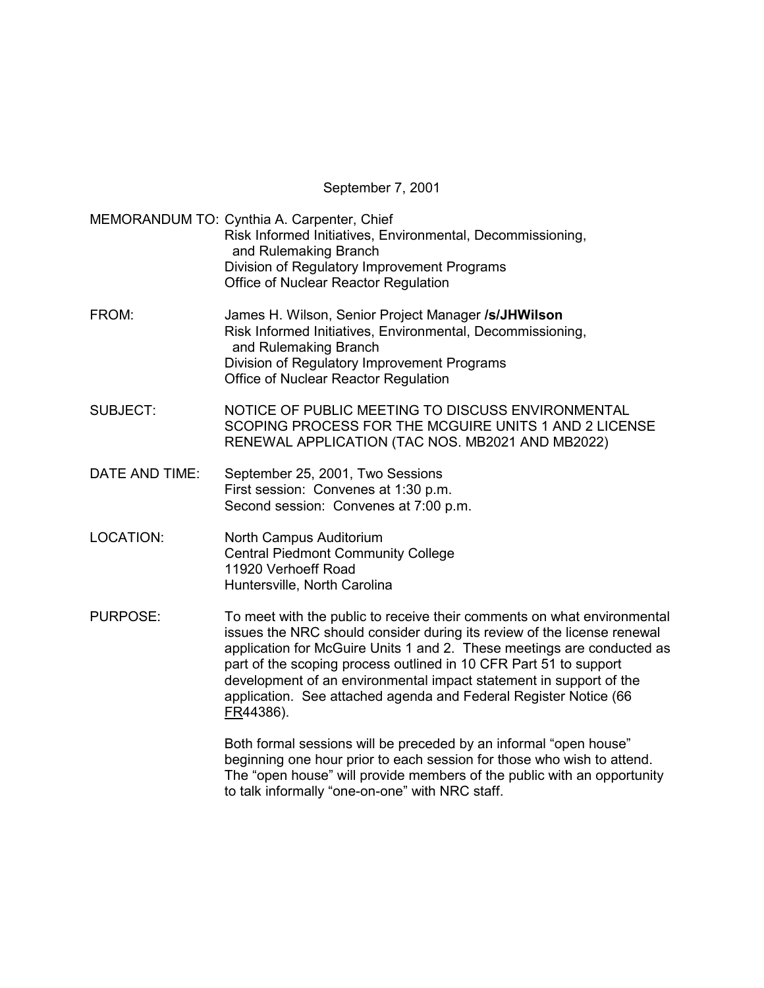September 7, 2001

MEMORANDUM TO: Cynthia A. Carpenter, Chief Risk Informed Initiatives, Environmental, Decommissioning, and Rulemaking Branch Division of Regulatory Improvement Programs Office of Nuclear Reactor Regulation FROM: James H. Wilson, Senior Project Manager **/s/JHWilson** Risk Informed Initiatives, Environmental, Decommissioning, and Rulemaking Branch Division of Regulatory Improvement Programs Office of Nuclear Reactor Regulation SUBJECT: NOTICE OF PUBLIC MEETING TO DISCUSS ENVIRONMENTAL SCOPING PROCESS FOR THE MCGUIRE UNITS 1 AND 2 LICENSE RENEWAL APPLICATION (TAC NOS. MB2021 AND MB2022) DATE AND TIME: September 25, 2001, Two Sessions First session: Convenes at 1:30 p.m. Second session: Convenes at 7:00 p.m. LOCATION: North Campus Auditorium Central Piedmont Community College 11920 Verhoeff Road Huntersville, North Carolina PURPOSE: To meet with the public to receive their comments on what environmental issues the NRC should consider during its review of the license renewal application for McGuire Units 1 and 2. These meetings are conducted as part of the scoping process outlined in 10 CFR Part 51 to support development of an environmental impact statement in support of the application. See attached agenda and Federal Register Notice (66 FR44386).

> Both formal sessions will be preceded by an informal "open house" beginning one hour prior to each session for those who wish to attend. The "open house" will provide members of the public with an opportunity to talk informally "one-on-one" with NRC staff.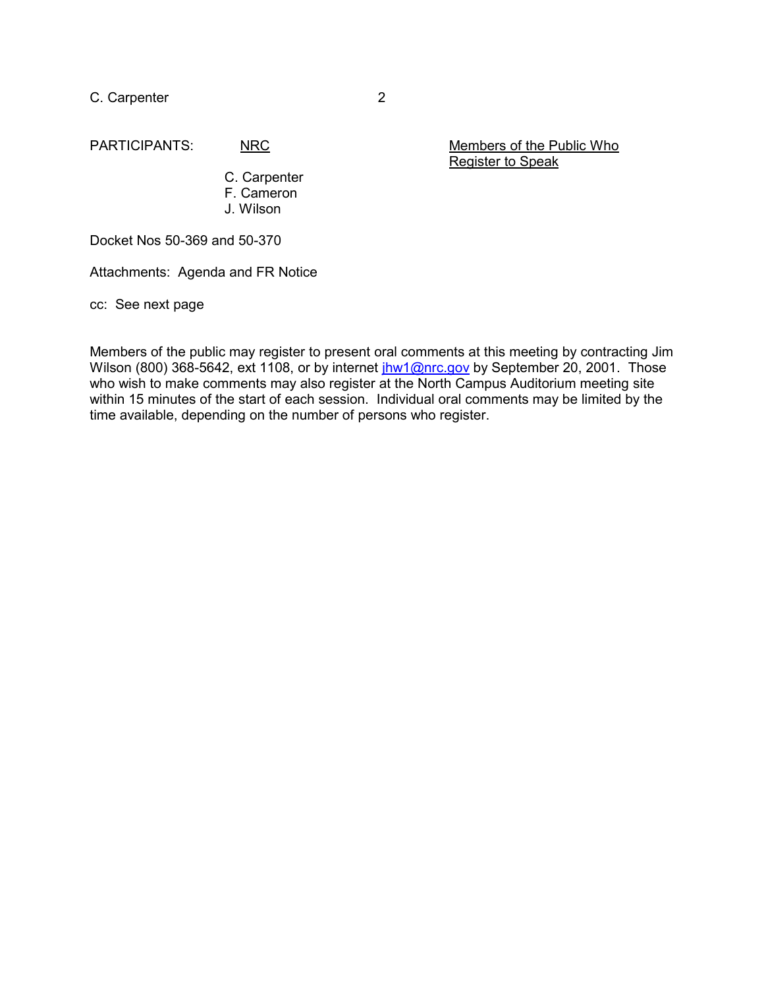C. Carpenter 2

PARTICIPANTS: NRC NRC Members of the Public Who Register to Speak

> C. Carpenter F. Cameron J. Wilson

Docket Nos 50-369 and 50-370

Attachments: Agenda and FR Notice

cc: See next page

Members of the public may register to present oral comments at this meeting by contracting Jim Wilson (800) 368-5642, ext 1108, or by internet *jhw1@nrc.gov* by September 20, 2001. Those who wish to make comments may also register at the North Campus Auditorium meeting site within 15 minutes of the start of each session. Individual oral comments may be limited by the time available, depending on the number of persons who register.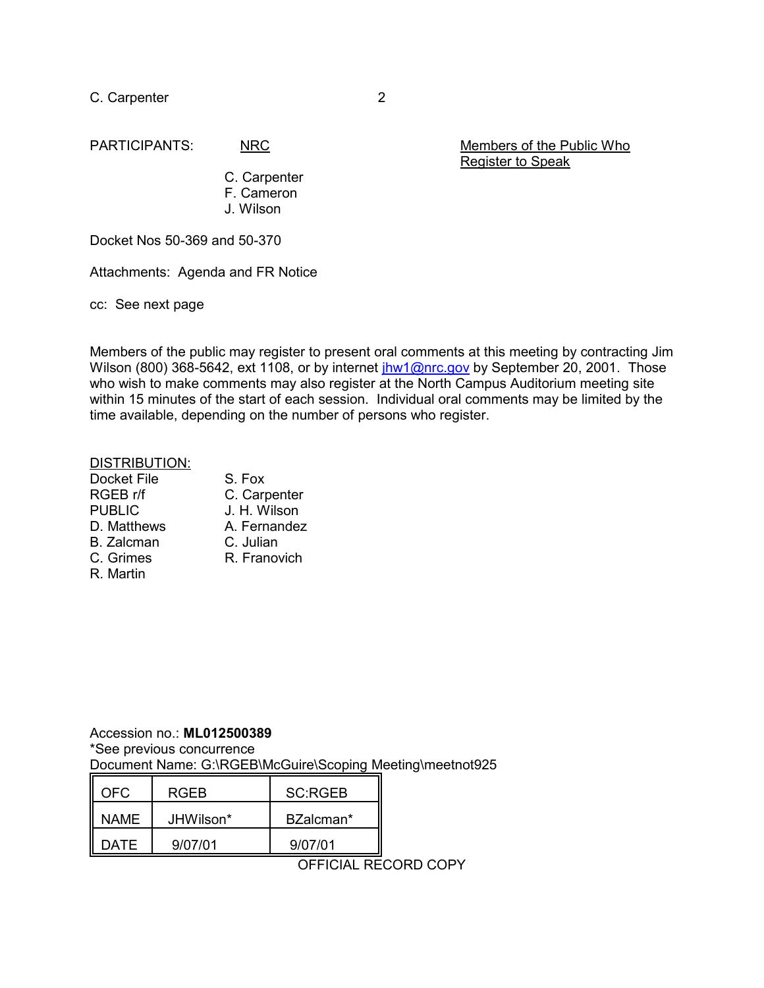C. Carpenter 2

PARTICIPANTS: NRC Members of the Public Who Register to Speak

> C. Carpenter F. Cameron J. Wilson

Docket Nos 50-369 and 50-370

Attachments: Agenda and FR Notice

cc: See next page

Members of the public may register to present oral comments at this meeting by contracting Jim Wilson (800) 368-5642, ext 1108, or by internet *jhw1@nrc.gov* by September 20, 2001. Those who wish to make comments may also register at the North Campus Auditorium meeting site within 15 minutes of the start of each session. Individual oral comments may be limited by the time available, depending on the number of persons who register.

## DISTRIBUTION:

| <b>Docket File</b> | S. Fox       |
|--------------------|--------------|
| RGEB r/f           | C. Carpenter |
| <b>PUBLIC</b>      | J. H. Wilson |
| D. Matthews        | A. Fernandez |
| <b>B.</b> Zalcman  | C. Julian    |
| C. Grimes          | R. Franovich |
| R. Martin          |              |

Accession no.: **ML012500389** \*See previous concurrence Document Name: G:\RGEB\McGuire\Scoping Meeting\meetnot925

| NFC.  | RGFB      | <b>SC:RGEB</b> |
|-------|-----------|----------------|
| NAME  | JHWilson* | BZalcman*      |
| ר ATE | 9/07/01   | 9/07/01        |

OFFICIAL RECORD COPY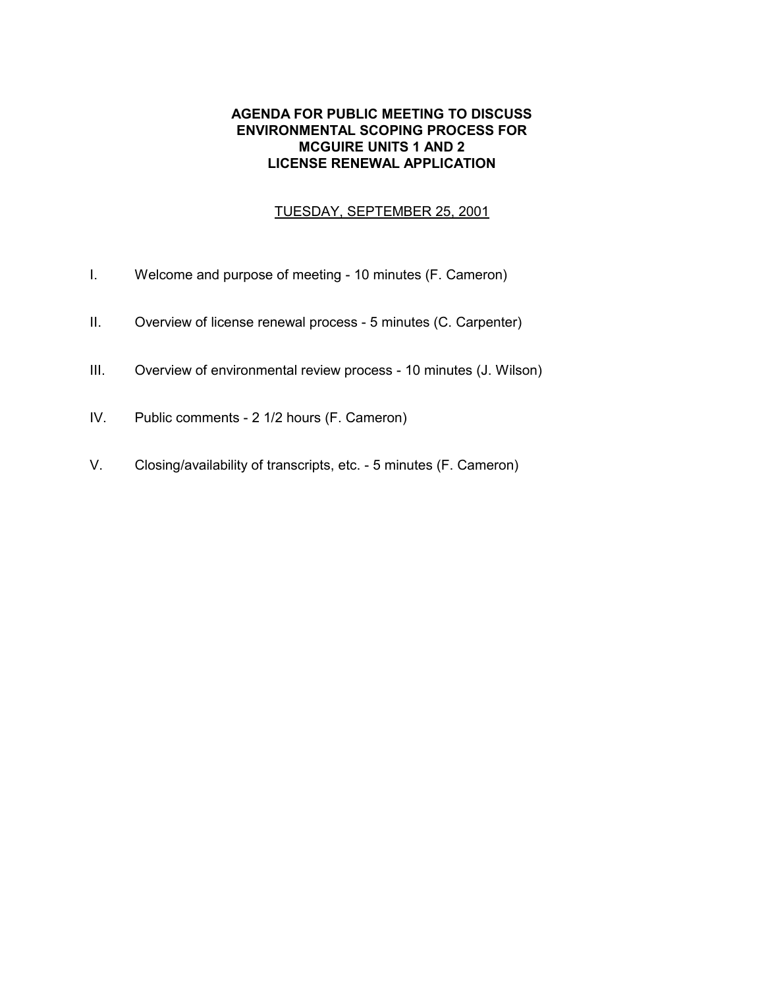## **AGENDA FOR PUBLIC MEETING TO DISCUSS ENVIRONMENTAL SCOPING PROCESS FOR MCGUIRE UNITS 1 AND 2 LICENSE RENEWAL APPLICATION**

## TUESDAY, SEPTEMBER 25, 2001

- I. Welcome and purpose of meeting 10 minutes (F. Cameron)
- II. Overview of license renewal process 5 minutes (C. Carpenter)
- III. Overview of environmental review process 10 minutes (J. Wilson)
- IV. Public comments 2 1/2 hours (F. Cameron)
- V. Closing/availability of transcripts, etc. 5 minutes (F. Cameron)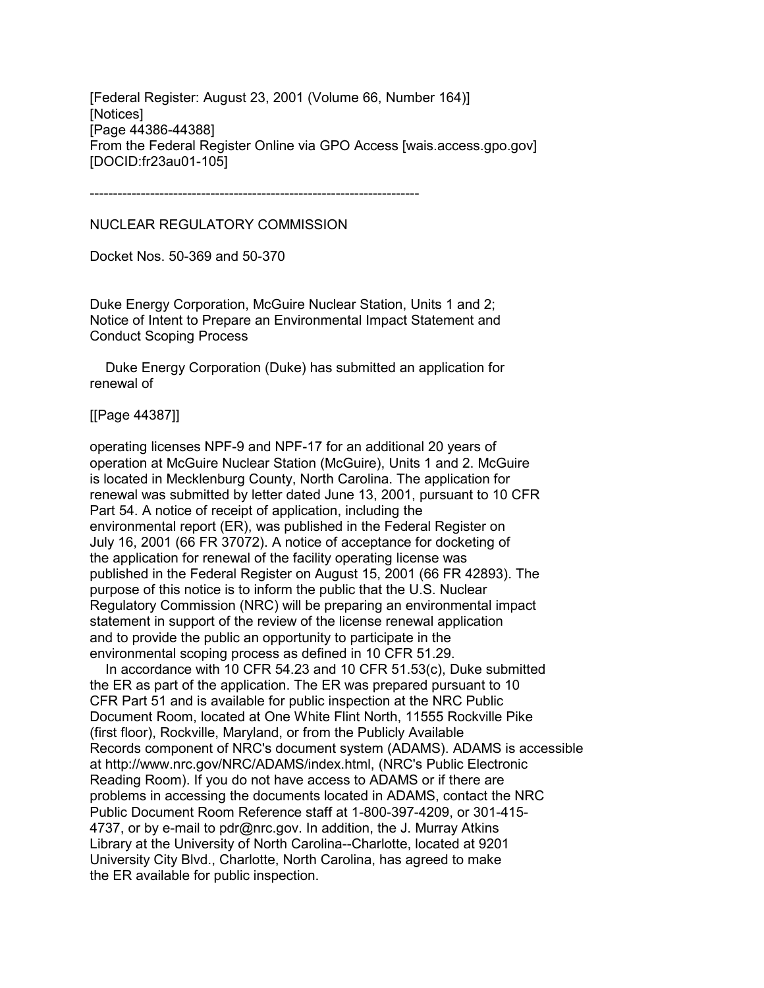[Federal Register: August 23, 2001 (Volume 66, Number 164)] [Notices] [Page 44386-44388] From the Federal Register Online via GPO Access [wais.access.gpo.gov] [DOCID:fr23au01-105]

-----------------------------------------------------------------------

NUCLEAR REGULATORY COMMISSION

Docket Nos. 50-369 and 50-370

Duke Energy Corporation, McGuire Nuclear Station, Units 1 and 2; Notice of Intent to Prepare an Environmental Impact Statement and Conduct Scoping Process

 Duke Energy Corporation (Duke) has submitted an application for renewal of

[[Page 44387]]

operating licenses NPF-9 and NPF-17 for an additional 20 years of operation at McGuire Nuclear Station (McGuire), Units 1 and 2. McGuire is located in Mecklenburg County, North Carolina. The application for renewal was submitted by letter dated June 13, 2001, pursuant to 10 CFR Part 54. A notice of receipt of application, including the environmental report (ER), was published in the Federal Register on July 16, 2001 (66 FR 37072). A notice of acceptance for docketing of the application for renewal of the facility operating license was published in the Federal Register on August 15, 2001 (66 FR 42893). The purpose of this notice is to inform the public that the U.S. Nuclear Regulatory Commission (NRC) will be preparing an environmental impact statement in support of the review of the license renewal application and to provide the public an opportunity to participate in the environmental scoping process as defined in 10 CFR 51.29.

 In accordance with 10 CFR 54.23 and 10 CFR 51.53(c), Duke submitted the ER as part of the application. The ER was prepared pursuant to 10 CFR Part 51 and is available for public inspection at the NRC Public Document Room, located at One White Flint North, 11555 Rockville Pike (first floor), Rockville, Maryland, or from the Publicly Available Records component of NRC's document system (ADAMS). ADAMS is accessible at http://www.nrc.gov/NRC/ADAMS/index.html, (NRC's Public Electronic Reading Room). If you do not have access to ADAMS or if there are problems in accessing the documents located in ADAMS, contact the NRC Public Document Room Reference staff at 1-800-397-4209, or 301-415- 4737, or by e-mail to pdr@nrc.gov. In addition, the J. Murray Atkins Library at the University of North Carolina--Charlotte, located at 9201 University City Blvd., Charlotte, North Carolina, has agreed to make the ER available for public inspection.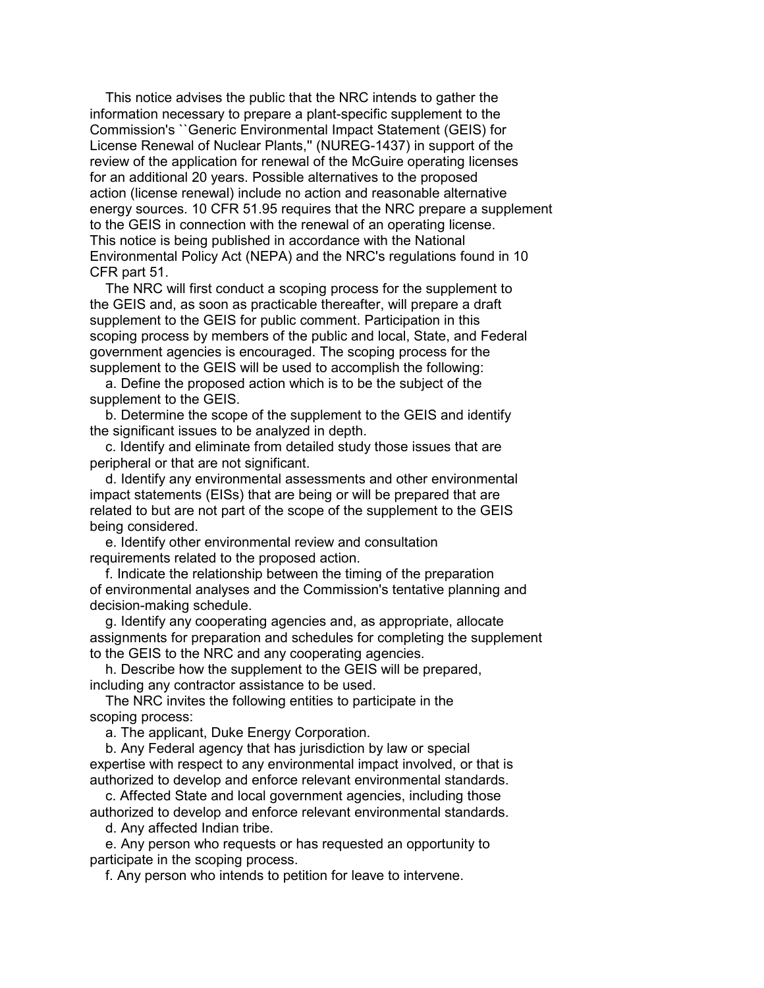This notice advises the public that the NRC intends to gather the information necessary to prepare a plant-specific supplement to the Commission's ``Generic Environmental Impact Statement (GEIS) for License Renewal of Nuclear Plants,'' (NUREG-1437) in support of the review of the application for renewal of the McGuire operating licenses for an additional 20 years. Possible alternatives to the proposed action (license renewal) include no action and reasonable alternative energy sources. 10 CFR 51.95 requires that the NRC prepare a supplement to the GEIS in connection with the renewal of an operating license. This notice is being published in accordance with the National Environmental Policy Act (NEPA) and the NRC's regulations found in 10 CFR part 51.

 The NRC will first conduct a scoping process for the supplement to the GEIS and, as soon as practicable thereafter, will prepare a draft supplement to the GEIS for public comment. Participation in this scoping process by members of the public and local, State, and Federal government agencies is encouraged. The scoping process for the supplement to the GEIS will be used to accomplish the following:

 a. Define the proposed action which is to be the subject of the supplement to the GEIS.

 b. Determine the scope of the supplement to the GEIS and identify the significant issues to be analyzed in depth.

 c. Identify and eliminate from detailed study those issues that are peripheral or that are not significant.

 d. Identify any environmental assessments and other environmental impact statements (EISs) that are being or will be prepared that are related to but are not part of the scope of the supplement to the GEIS being considered.

 e. Identify other environmental review and consultation requirements related to the proposed action.

 f. Indicate the relationship between the timing of the preparation of environmental analyses and the Commission's tentative planning and decision-making schedule.

 g. Identify any cooperating agencies and, as appropriate, allocate assignments for preparation and schedules for completing the supplement to the GEIS to the NRC and any cooperating agencies.

 h. Describe how the supplement to the GEIS will be prepared, including any contractor assistance to be used.

 The NRC invites the following entities to participate in the scoping process:

a. The applicant, Duke Energy Corporation.

 b. Any Federal agency that has jurisdiction by law or special expertise with respect to any environmental impact involved, or that is authorized to develop and enforce relevant environmental standards.

 c. Affected State and local government agencies, including those authorized to develop and enforce relevant environmental standards.

d. Any affected Indian tribe.

 e. Any person who requests or has requested an opportunity to participate in the scoping process.

f. Any person who intends to petition for leave to intervene.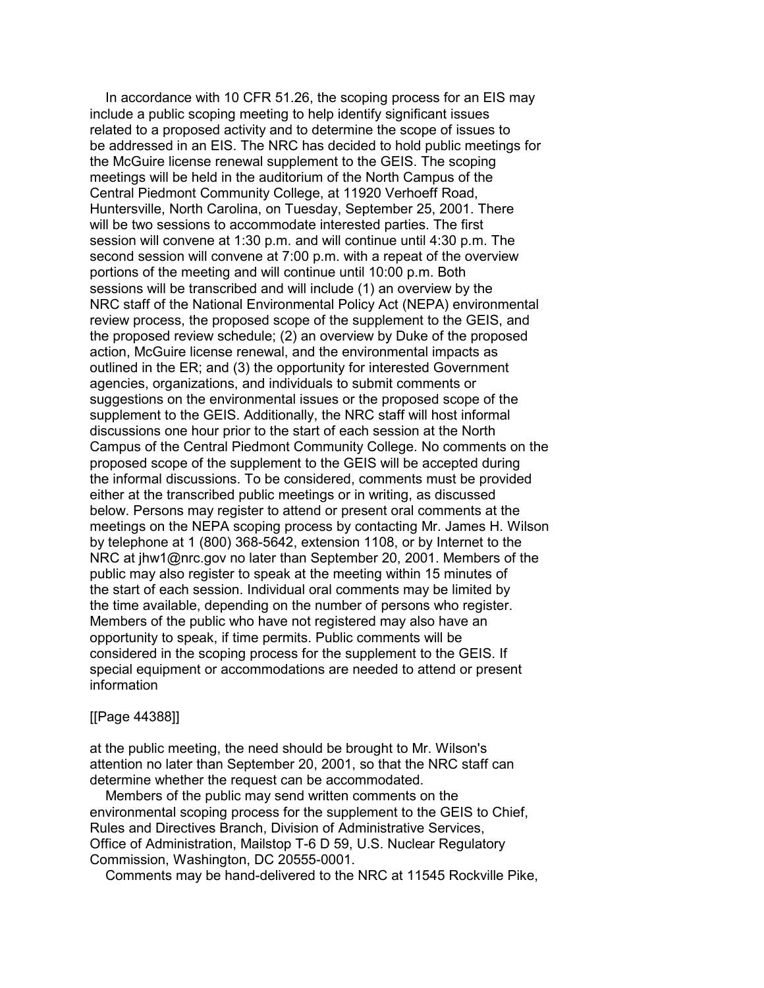In accordance with 10 CFR 51.26, the scoping process for an EIS may include a public scoping meeting to help identify significant issues related to a proposed activity and to determine the scope of issues to be addressed in an EIS. The NRC has decided to hold public meetings for the McGuire license renewal supplement to the GEIS. The scoping meetings will be held in the auditorium of the North Campus of the Central Piedmont Community College, at 11920 Verhoeff Road, Huntersville, North Carolina, on Tuesday, September 25, 2001. There will be two sessions to accommodate interested parties. The first session will convene at 1:30 p.m. and will continue until 4:30 p.m. The second session will convene at 7:00 p.m. with a repeat of the overview portions of the meeting and will continue until 10:00 p.m. Both sessions will be transcribed and will include (1) an overview by the NRC staff of the National Environmental Policy Act (NEPA) environmental review process, the proposed scope of the supplement to the GEIS, and the proposed review schedule; (2) an overview by Duke of the proposed action, McGuire license renewal, and the environmental impacts as outlined in the ER; and (3) the opportunity for interested Government agencies, organizations, and individuals to submit comments or suggestions on the environmental issues or the proposed scope of the supplement to the GEIS. Additionally, the NRC staff will host informal discussions one hour prior to the start of each session at the North Campus of the Central Piedmont Community College. No comments on the proposed scope of the supplement to the GEIS will be accepted during the informal discussions. To be considered, comments must be provided either at the transcribed public meetings or in writing, as discussed below. Persons may register to attend or present oral comments at the meetings on the NEPA scoping process by contacting Mr. James H. Wilson by telephone at 1 (800) 368-5642, extension 1108, or by Internet to the NRC at jhw1@nrc.gov no later than September 20, 2001. Members of the public may also register to speak at the meeting within 15 minutes of the start of each session. Individual oral comments may be limited by the time available, depending on the number of persons who register. Members of the public who have not registered may also have an opportunity to speak, if time permits. Public comments will be considered in the scoping process for the supplement to the GEIS. If special equipment or accommodations are needed to attend or present information

## [[Page 44388]]

at the public meeting, the need should be brought to Mr. Wilson's attention no later than September 20, 2001, so that the NRC staff can determine whether the request can be accommodated.

 Members of the public may send written comments on the environmental scoping process for the supplement to the GEIS to Chief, Rules and Directives Branch, Division of Administrative Services, Office of Administration, Mailstop T-6 D 59, U.S. Nuclear Regulatory Commission, Washington, DC 20555-0001.

Comments may be hand-delivered to the NRC at 11545 Rockville Pike,